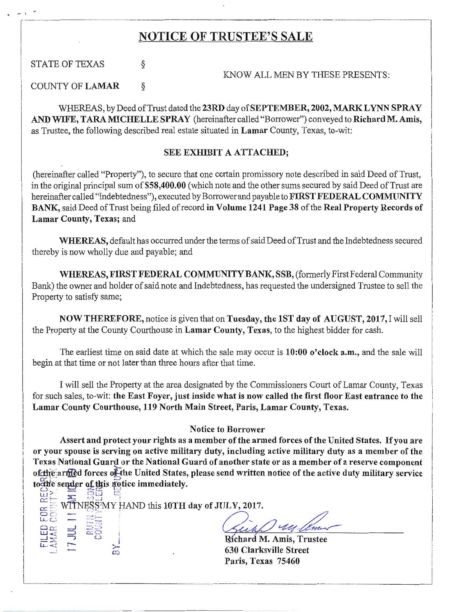## NOTICE OF TRUSTEE'S SALE

STATE OF TEXAS  $\S$ 

 $\ddot{\phantom{0}}$ 

 $\mathbf{r}$ 

I

I  $\mathbf{I}$ i I i I I I I i

I ! I I I  $\overline{\phantom{a}}$   $\equiv$   $\frac{85}{2}$ 

LA P X

KNOW ALL MEN BY THESE PRESENTS:

·- - -------·---·--- -------.

COUNTY OF LAMAR §

WHEREAS, by Deed of Trust dated the 23RD day of SEPTEMBER, 2002, MARK LYNN SPRAY AND WIFE, TARA MICHELLE SPRAY (hereinafter called "Borrower") conveyed to Richard M. Amis, as Trustee, the following described real estate situated in Lamar County, Texas, to-wit:

## SEE EXHIBIT A ATTACHED;

(hereinafter called "Property"), to secure that one certain promissory note described in said Deed of Trust, in the original principal sum of \$58,400.00 (which note and the other sums secured by said Deed of Trust are hereinafter called "Indebtedness"), executed by Borrower and payable to FIRST FEDERAL COMMUNITY BANK, said Deed of Trust being filed of record in Volume 1241 Page 38 of the Real Property Records of Lamar County, Texas; and

WHEREAS, default has occurred under the terms of said Deed of Trust and the Indebtedness secured thereby is now wholly due and payable; and

WHEREAS, FIRST FEDERAL COMMUNITY BANK, SSB, (formerly First Federal Community Bank) the owner and holder of said note and Indebtedness, has requested the undersigned Trustee to sell the Property to satisfy same;

NOW THEREFORE, notice is given that on Tuesday, the lST day of AUGUST, 2017, I will sell the Property at the County Courthouse in Lamar County, Texas, to the highest bidder for cash.

The earliest time on said date at which the sale may occur is 10:00 o'clock a.m., and the sale will begin at that time or not later than three hours after that time.

I will sell the Property at the area designated by the Commissioners Court of Lamar County, Texas for such sales, to-wit: the East Foyer, just inside what is now called the first floor East entrance to the Lamar County Courthouse, 119 North Main Street, Paris, Lamar County, Texas.

## Notice to Borrower

Assert and protect your rights as a member of the armed forces of the United States. If you are or your spouse is serving on active military duty, including active military duty as a member of the Texas National Guard or the National Guard of another state or as a member of a reserve component of the armed forces of the United States, please send written notice of the active duty military service to the sender of this motice immediately.

 $E = E \times 10^{-1}$ 

 $\begin{array}{l}\n\text{C.}\n\text{C.}\n\text{C.}\n\text{C.}\n\text{C.}\n\text{D.}\n\text{D.}\n\text{D.}\n\text{D.}\n\text{D.}\n\text{D.}\n\text{D.}\n\text{D.}\n\text{D.}\n\text{D.}\n\text{D.}\n\text{D.}\n\text{D.}\n\text{D.}\n\text{D.}\n\text{D.}\n\text{D.}\n\text{D.}\n\text{D.}\n\text{D.}\n\text{D.}\n\text{D.}\n\text{D.}\n\text{D.}\n\text{D.}\n\text$  $\frac{1}{2}$  windspin parts us form day of solen, 2011.  $\frac{C_{i}}{R_{i}}$  :  $\frac{C_{i}}{R_{i}}$  :  $\frac{C_{i}}{R_{i}}$ 

 $\sum_{n=1}^{\infty}$  630 Clarksville Street Paris, Texas 75460 -··-------------- ··---·--- ----- ------'